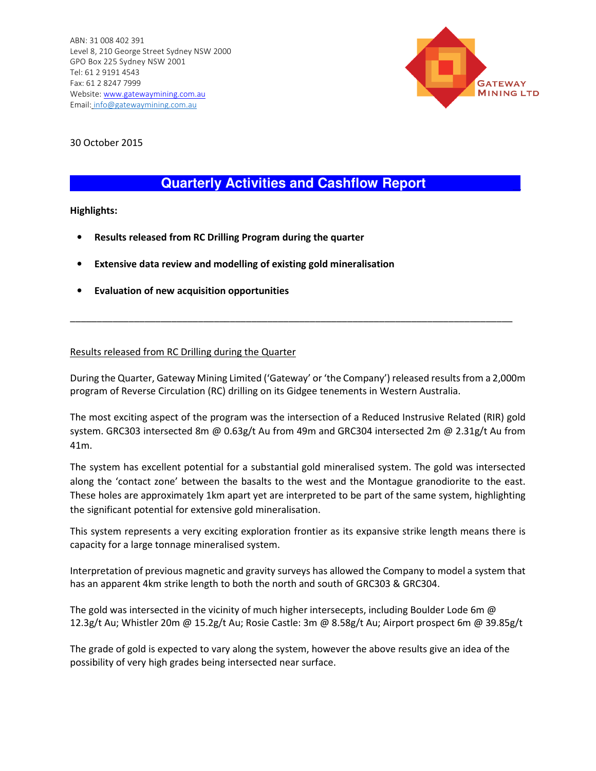

30 October 2015

#### **Quarterly Activities and Cashflow Report \_**

**Highlights:** 

- **Results released from RC Drilling Program during the quarter**
- **Extensive data review and modelling of existing gold mineralisation**
- **Evaluation of new acquisition opportunities**

#### Results released from RC Drilling during the Quarter

During the Quarter, Gateway Mining Limited ('Gateway' or 'the Company') released results from a 2,000m program of Reverse Circulation (RC) drilling on its Gidgee tenements in Western Australia.

\_\_\_\_\_\_\_\_\_\_\_\_\_\_\_\_\_\_\_\_\_\_\_\_\_\_\_\_\_\_\_\_\_\_\_\_\_\_\_\_\_\_\_\_\_\_\_\_\_\_\_\_\_\_\_\_\_\_\_\_\_\_\_\_\_\_\_\_\_\_\_\_\_\_\_\_\_\_\_\_\_\_\_

The most exciting aspect of the program was the intersection of a Reduced Instrusive Related (RIR) gold system. GRC303 intersected 8m @ 0.63g/t Au from 49m and GRC304 intersected 2m @ 2.31g/t Au from 41m.

The system has excellent potential for a substantial gold mineralised system. The gold was intersected along the 'contact zone' between the basalts to the west and the Montague granodiorite to the east. These holes are approximately 1km apart yet are interpreted to be part of the same system, highlighting the significant potential for extensive gold mineralisation.

This system represents a very exciting exploration frontier as its expansive strike length means there is capacity for a large tonnage mineralised system.

Interpretation of previous magnetic and gravity surveys has allowed the Company to model a system that has an apparent 4km strike length to both the north and south of GRC303 & GRC304.

The gold was intersected in the vicinity of much higher intersecepts, including Boulder Lode 6m @ 12.3g/t Au; Whistler 20m @ 15.2g/t Au; Rosie Castle: 3m @ 8.58g/t Au; Airport prospect 6m @ 39.85g/t

The grade of gold is expected to vary along the system, however the above results give an idea of the possibility of very high grades being intersected near surface.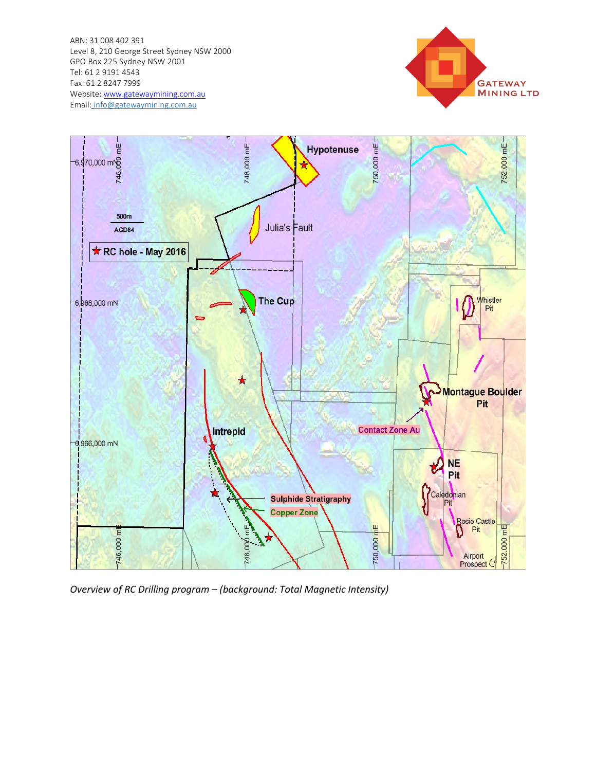ABN: 31 008 402 391 Level 8, 210 George Street Sydney NSW 2000 GPO Box 225 Sydney NSW 2001 Tel: 61 2 9191 4543 Fax: 61 2 8247 7999 Website: www.gatewaymining.com.au Email: info@gatewaymining.com.au





*Overview of RC Drilling program – (background: Total Magnetic Intensity)*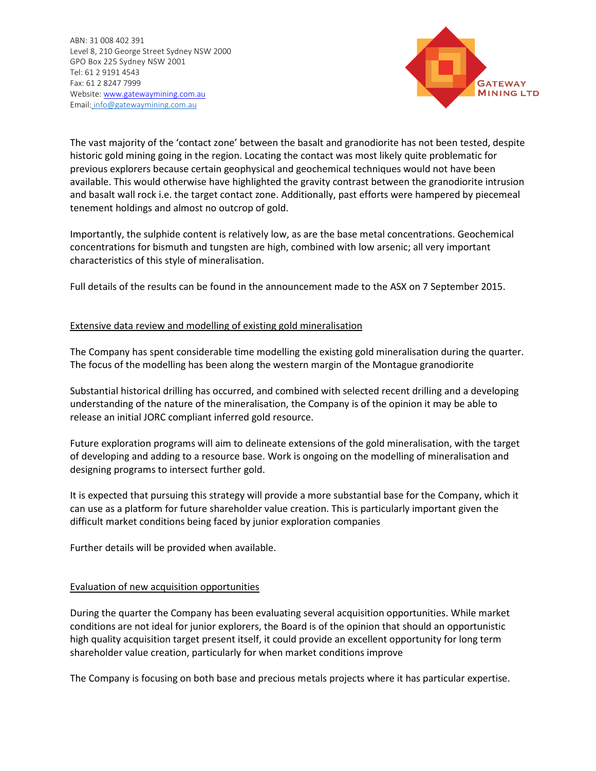

The vast majority of the 'contact zone' between the basalt and granodiorite has not been tested, despite historic gold mining going in the region. Locating the contact was most likely quite problematic for previous explorers because certain geophysical and geochemical techniques would not have been available. This would otherwise have highlighted the gravity contrast between the granodiorite intrusion and basalt wall rock i.e. the target contact zone. Additionally, past efforts were hampered by piecemeal tenement holdings and almost no outcrop of gold.

Importantly, the sulphide content is relatively low, as are the base metal concentrations. Geochemical concentrations for bismuth and tungsten are high, combined with low arsenic; all very important characteristics of this style of mineralisation.

Full details of the results can be found in the announcement made to the ASX on 7 September 2015.

#### Extensive data review and modelling of existing gold mineralisation

The Company has spent considerable time modelling the existing gold mineralisation during the quarter. The focus of the modelling has been along the western margin of the Montague granodiorite

Substantial historical drilling has occurred, and combined with selected recent drilling and a developing understanding of the nature of the mineralisation, the Company is of the opinion it may be able to release an initial JORC compliant inferred gold resource.

Future exploration programs will aim to delineate extensions of the gold mineralisation, with the target of developing and adding to a resource base. Work is ongoing on the modelling of mineralisation and designing programs to intersect further gold.

It is expected that pursuing this strategy will provide a more substantial base for the Company, which it can use as a platform for future shareholder value creation. This is particularly important given the difficult market conditions being faced by junior exploration companies

Further details will be provided when available.

#### Evaluation of new acquisition opportunities

During the quarter the Company has been evaluating several acquisition opportunities. While market conditions are not ideal for junior explorers, the Board is of the opinion that should an opportunistic high quality acquisition target present itself, it could provide an excellent opportunity for long term shareholder value creation, particularly for when market conditions improve

The Company is focusing on both base and precious metals projects where it has particular expertise.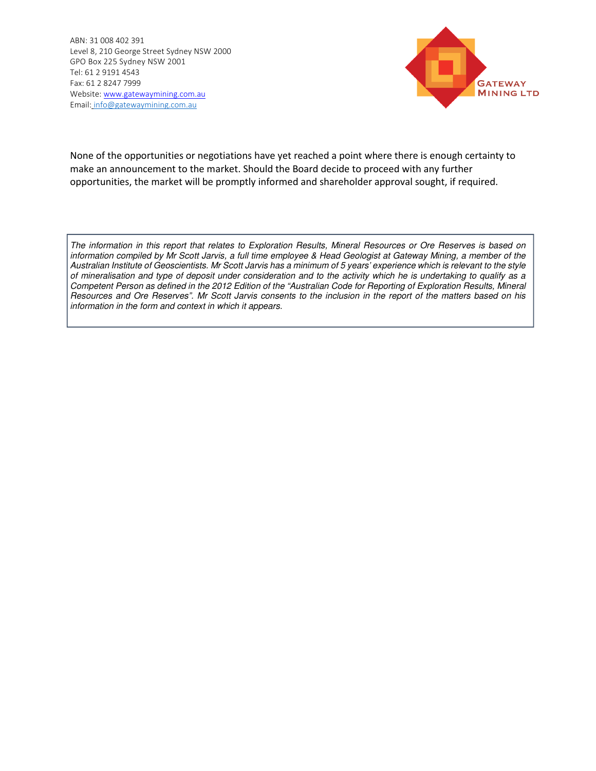

None of the opportunities or negotiations have yet reached a point where there is enough certainty to make an announcement to the market. Should the Board decide to proceed with any further opportunities, the market will be promptly informed and shareholder approval sought, if required.

The information in this report that relates to Exploration Results, Mineral Resources or Ore Reserves is based on information compiled by Mr Scott Jarvis, a full time employee & Head Geologist at Gateway Mining, a member of the Australian Institute of Geoscientists. Mr Scott Jarvis has a minimum of 5 years' experience which is relevant to the style of mineralisation and type of deposit under consideration and to the activity which he is undertaking to qualify as a Competent Person as defined in the 2012 Edition of the "Australian Code for Reporting of Exploration Results, Mineral Resources and Ore Reserves". Mr Scott Jarvis consents to the inclusion in the report of the matters based on his information in the form and context in which it appears.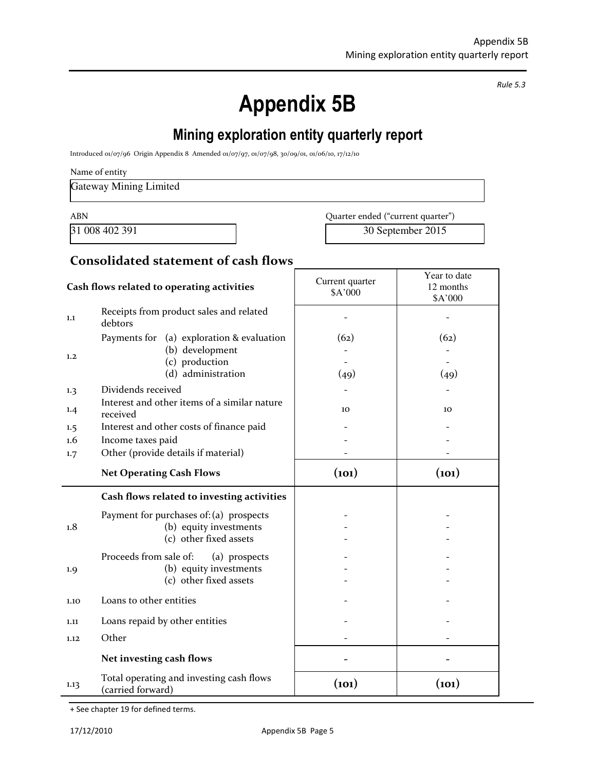*Rule 5.3* 

٦

# **Appendix 5B**

# **Mining exploration entity quarterly report**

Introduced 01/07/96 Origin Appendix 8 Amended 01/07/97, 01/07/98, 30/09/01, 01/06/10, 17/12/10

Name of entity

Gateway Mining Limited

ABN Quarter ended ("current quarter")

31 008 402 391 30 September 2015

#### **Consolidated statement of cash flows**

| Cash flows related to operating activities |                                                                                                      | Current quarter<br>\$A'000 | Year to date<br>12 months<br>\$A'000 |
|--------------------------------------------|------------------------------------------------------------------------------------------------------|----------------------------|--------------------------------------|
| 1.1                                        | Receipts from product sales and related<br>debtors                                                   |                            |                                      |
| 1,2                                        | Payments for (a) exploration & evaluation<br>(b) development<br>(c) production<br>(d) administration | (62)<br>(49)               | (62)<br>(49)                         |
| $1.3\phantom{0}$                           | Dividends received                                                                                   |                            |                                      |
| 1.4                                        | Interest and other items of a similar nature<br>received                                             | 10                         | 10                                   |
| $1.5\,$                                    | Interest and other costs of finance paid                                                             |                            |                                      |
| 1.6                                        | Income taxes paid                                                                                    |                            |                                      |
| 1.7                                        | Other (provide details if material)                                                                  |                            |                                      |
|                                            | <b>Net Operating Cash Flows</b>                                                                      | (101)                      | (101)                                |
|                                            | Cash flows related to investing activities                                                           |                            |                                      |
| 1.8                                        | Payment for purchases of: (a) prospects<br>(b) equity investments<br>(c) other fixed assets          |                            |                                      |
| 1.9                                        | Proceeds from sale of:<br>(a) prospects<br>(b) equity investments                                    |                            |                                      |
|                                            | (c) other fixed assets                                                                               |                            |                                      |
| 1.10                                       | Loans to other entities                                                                              |                            |                                      |
| 1.11                                       | Loans repaid by other entities                                                                       |                            |                                      |
| 1.12                                       | Other                                                                                                |                            |                                      |
|                                            | Net investing cash flows                                                                             |                            |                                      |

+ See chapter 19 for defined terms.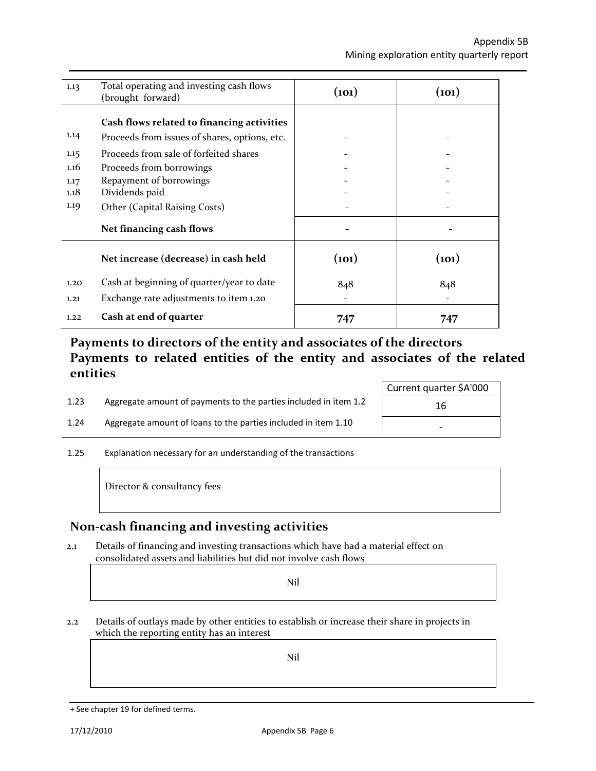| 1.13 | Total operating and investing cash flows<br>(brought forward) | (101) | (101) |
|------|---------------------------------------------------------------|-------|-------|
|      | Cash flows related to financing activities                    |       |       |
| 1.14 | Proceeds from issues of shares, options, etc.                 |       |       |
| 1.15 | Proceeds from sale of forfeited shares                        |       |       |
| 1.16 | Proceeds from borrowings                                      |       |       |
| 1.17 | Repayment of borrowings                                       |       |       |
| 1.18 | Dividends paid                                                |       |       |
| 1.19 | Other (Capital Raising Costs)                                 |       |       |
|      | Net financing cash flows                                      |       |       |
|      | Net increase (decrease) in cash held                          | (101) | (101) |
| 1.20 | Cash at beginning of quarter/year to date                     | 848   | 848   |
| 1.21 | Exchange rate adjustments to item 1.20                        |       |       |
| 1.22 | Cash at end of quarter                                        | 747   | 747   |

#### **Payments to directors of the entity and associates of the directors Payments to related entities of the entity and associates of the related entities**

|      |                                                                  | Current quarter \$A'000  |
|------|------------------------------------------------------------------|--------------------------|
| 1.23 | Aggregate amount of payments to the parties included in item 1.2 | 16                       |
| 1.24 | Aggregate amount of loans to the parties included in item 1.10   | $\overline{\phantom{0}}$ |

1.25 Explanation necessary for an understanding of the transactions

Director & consultancy fees

#### **Non-cash financing and investing activities**

2.1 Details of financing and investing transactions which have had a material effect on consolidated assets and liabilities but did not involve cash flows

Nil

2.2 Details of outlays made by other entities to establish or increase their share in projects in which the reporting entity has an interest

Nil

<sup>+</sup> See chapter 19 for defined terms.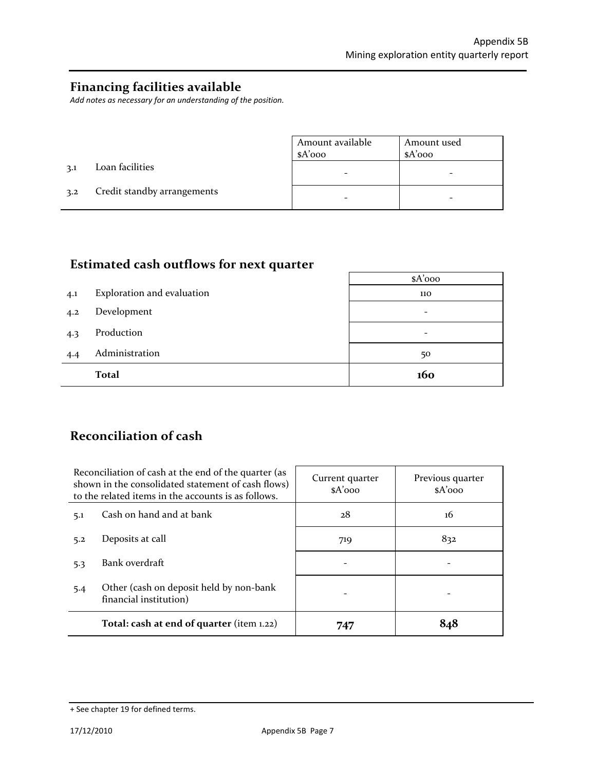#### **Financing facilities available**

*Add notes as necessary for an understanding of the position.* 

|     |                             | Amount available | Amount used |
|-----|-----------------------------|------------------|-------------|
|     |                             | $A'$ 000         | $A'$ 000    |
| 3.1 | Loan facilities             |                  |             |
| 3.2 | Credit standby arrangements |                  |             |

# **Estimated cash outflows for next quarter**

|     |                            | $A'$ 000        |
|-----|----------------------------|-----------------|
| 4.1 | Exploration and evaluation | 110             |
| 4.2 | Development                | $\qquad \qquad$ |
| 4.3 | Production                 | -               |
| 4.4 | Administration             | 50              |
|     | <b>Total</b>               | 160             |

# **Reconciliation of cash**

| Reconciliation of cash at the end of the quarter (as<br>shown in the consolidated statement of cash flows)<br>to the related items in the accounts is as follows. |                                                                   | Current quarter<br>$A'$ 000 | Previous quarter<br>$A'$ 000 |
|-------------------------------------------------------------------------------------------------------------------------------------------------------------------|-------------------------------------------------------------------|-----------------------------|------------------------------|
| 5.1                                                                                                                                                               | Cash on hand and at bank                                          | 28                          | 16                           |
| 5.2                                                                                                                                                               | Deposits at call                                                  | 719                         | 832                          |
| 5.3                                                                                                                                                               | Bank overdraft                                                    |                             |                              |
| 5.4                                                                                                                                                               | Other (cash on deposit held by non-bank<br>financial institution) |                             |                              |
|                                                                                                                                                                   | Total: cash at end of quarter (item 1.22)                         | 747                         | 848                          |

<sup>+</sup> See chapter 19 for defined terms.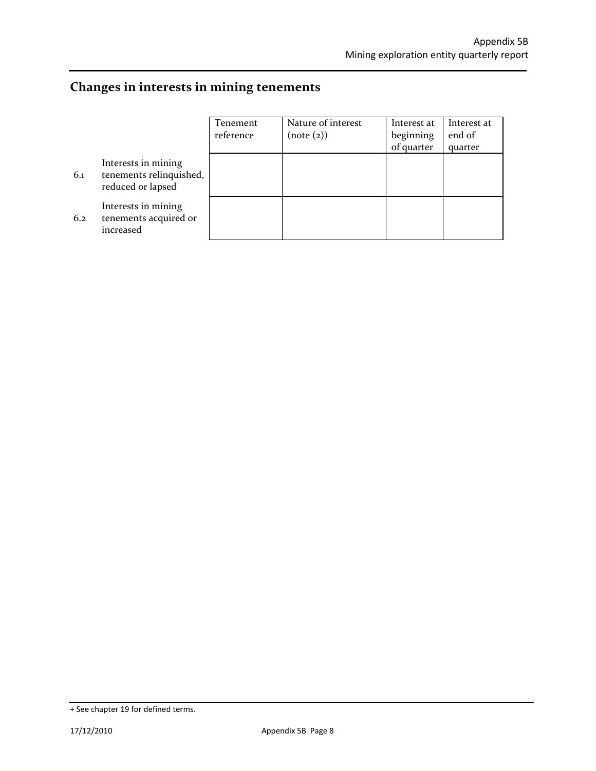# **Changes in interests in mining tenements**

|     |                                                                     | Tenement<br>reference | Nature of interest<br>(note (2)) | Interest at<br>beginning<br>of quarter | Interest at<br>end of<br>quarter |
|-----|---------------------------------------------------------------------|-----------------------|----------------------------------|----------------------------------------|----------------------------------|
| 6.1 | Interests in mining<br>tenements relinquished,<br>reduced or lapsed |                       |                                  |                                        |                                  |
| 6.2 | Interests in mining<br>tenements acquired or<br>increased           |                       |                                  |                                        |                                  |

<sup>+</sup> See chapter 19 for defined terms.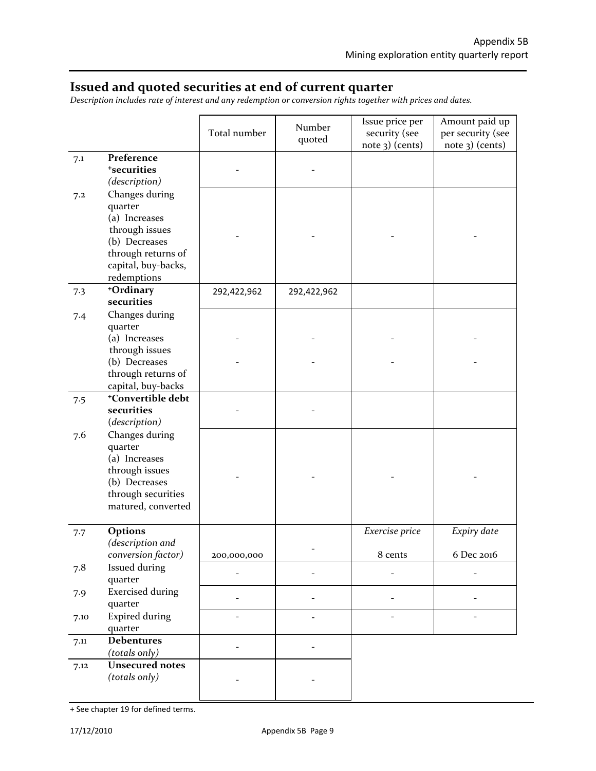#### **Issued and quoted securities at end of current quarter**

*Description includes rate of interest and any redemption or conversion rights together with prices and dates.* 

|      |                                                                                                                           | Total number | Number<br>quoted | Issue price per<br>security (see<br>note 3) (cents) | Amount paid up<br>per security (see<br>$note$ 3) (cents) |
|------|---------------------------------------------------------------------------------------------------------------------------|--------------|------------------|-----------------------------------------------------|----------------------------------------------------------|
| 7.1  | Preference<br><sup>+</sup> securities<br>(description)                                                                    |              |                  |                                                     |                                                          |
| 7.2  | Changes during<br>quarter<br>(a) Increases<br>through issues                                                              |              |                  |                                                     |                                                          |
|      | (b) Decreases<br>through returns of<br>capital, buy-backs,<br>redemptions                                                 |              |                  |                                                     |                                                          |
| 7.3  | +Ordinary<br>securities                                                                                                   | 292,422,962  | 292,422,962      |                                                     |                                                          |
| 7.4  | Changes during<br>quarter<br>(a) Increases                                                                                |              |                  |                                                     |                                                          |
|      | through issues                                                                                                            |              |                  |                                                     |                                                          |
|      | (b) Decreases                                                                                                             |              |                  |                                                     |                                                          |
|      | through returns of<br>capital, buy-backs                                                                                  |              |                  |                                                     |                                                          |
| 7.5  | +Convertible debt                                                                                                         |              |                  |                                                     |                                                          |
|      | securities<br>(description)                                                                                               |              |                  |                                                     |                                                          |
| 7.6  | Changes during<br>quarter<br>(a) Increases<br>through issues<br>(b) Decreases<br>through securities<br>matured, converted |              |                  |                                                     |                                                          |
| 7.7  | Options                                                                                                                   |              |                  | Exercise price                                      | Expiry date                                              |
|      | (description and<br>conversion factor)                                                                                    | 200,000,000  |                  | 8 cents                                             | 6 Dec 2016                                               |
| 7.8  | Issued during<br>quarter                                                                                                  |              |                  |                                                     |                                                          |
| 7.9  | <b>Exercised during</b><br>quarter                                                                                        |              |                  |                                                     |                                                          |
| 7.10 | <b>Expired during</b><br>quarter                                                                                          |              |                  |                                                     |                                                          |
| 7.11 | <b>Debentures</b><br>(totals only)                                                                                        |              |                  |                                                     |                                                          |
| 7.12 | <b>Unsecured notes</b><br>(totals only)                                                                                   |              |                  |                                                     |                                                          |

<sup>+</sup> See chapter 19 for defined terms.